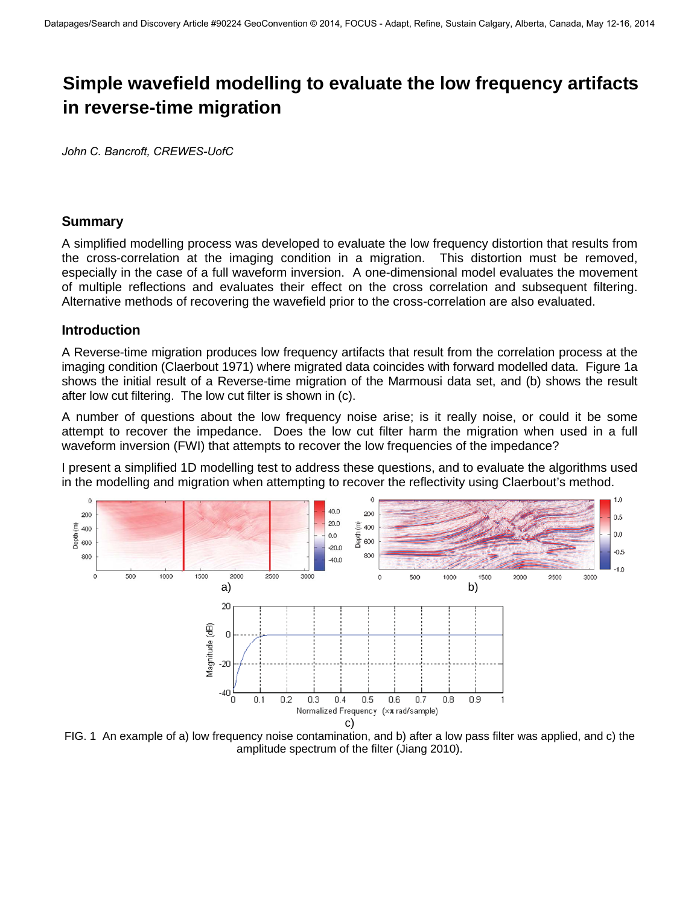# **Simple wavefield modelling to evaluate the low frequency artifacts in reverse-time migration**

*John C. Bancroft, CREWES-UofC* 

#### **Summary**

A simplified modelling process was developed to evaluate the low frequency distortion that results from the cross-correlation at the imaging condition in a migration. This distortion must be removed, especially in the case of a full waveform inversion. A one-dimensional model evaluates the movement of multiple reflections and evaluates their effect on the cross correlation and subsequent filtering. Alternative methods of recovering the wavefield prior to the cross-correlation are also evaluated.

#### **Introduction**

A Reverse-time migration produces low frequency artifacts that result from the correlation process at the imaging condition (Claerbout 1971) where migrated data coincides with forward modelled data. Figure 1a shows the initial result of a Reverse-time migration of the Marmousi data set, and (b) shows the result after low cut filtering. The low cut filter is shown in (c).

A number of questions about the low frequency noise arise; is it really noise, or could it be some attempt to recover the impedance. Does the low cut filter harm the migration when used in a full waveform inversion (FWI) that attempts to recover the low frequencies of the impedance?

I present a simplified 1D modelling test to address these questions, and to evaluate the algorithms used in the modelling and migration when attempting to recover the reflectivity using Claerbout's method.



FIG. 1 An example of a) low frequency noise contamination, and b) after a low pass filter was applied, and c) the amplitude spectrum of the filter (Jiang 2010).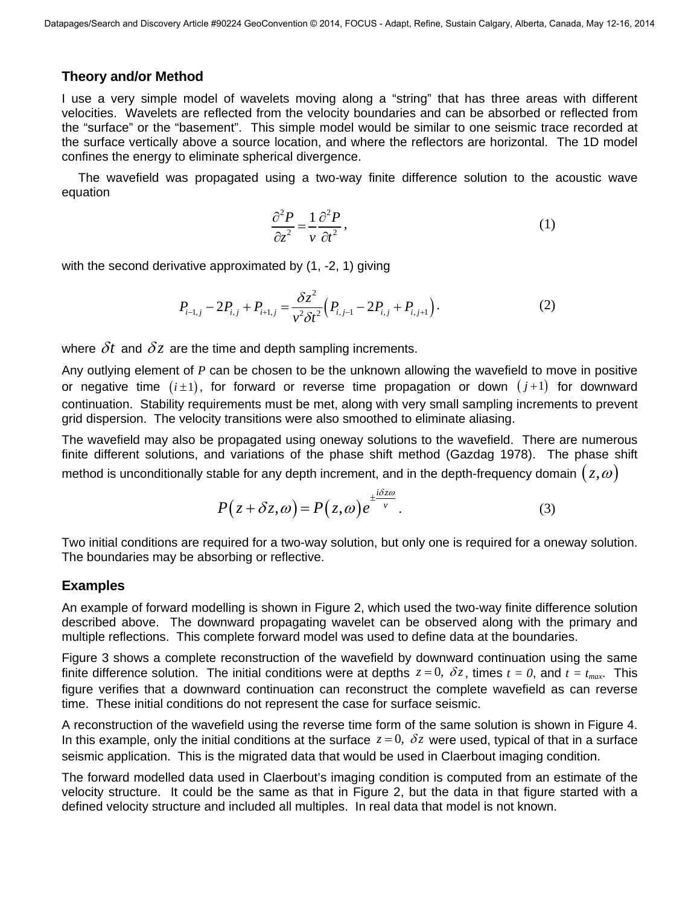#### **Theory and/or Method**

I use a very simple model of wavelets moving along a "string" that has three areas with different velocities. Wavelets are reflected from the velocity boundaries and can be absorbed or reflected from the "surface" or the "basement". This simple model would be similar to one seismic trace recorded at the surface vertically above a source location, and where the reflectors are horizontal. The 1D model confines the energy to eliminate spherical divergence.

The wavefield was propagated using a two-way finite difference solution to the acoustic wave equation

$$
\frac{\partial^2 P}{\partial z^2} = \frac{1}{v} \frac{\partial^2 P}{\partial t^2},\tag{1}
$$

with the second derivative approximated by (1, -2, 1) giving

$$
P_{i-1,j} - 2P_{i,j} + P_{i+1,j} = \frac{\delta z^2}{v^2 \delta t^2} \Big( P_{i,j-1} - 2P_{i,j} + P_{i,j+1} \Big). \tag{2}
$$

where  $\delta t$  and  $\delta z$  are the time and depth sampling increments.

Any outlying element of *P* can be chosen to be the unknown allowing the wavefield to move in positive or negative time  $(i \pm 1)$ , for forward or reverse time propagation or down  $(j+1)$  for downward continuation. Stability requirements must be met, along with very small sampling increments to prevent grid dispersion. The velocity transitions were also smoothed to eliminate aliasing.

The wavefield may also be propagated using oneway solutions to the wavefield. There are numerous finite different solutions, and variations of the phase shift method (Gazdag 1978). The phase shift method is unconditionally stable for any depth increment, and in the depth-frequency domain  $(z, \omega)$ 

$$
P(z+\delta z,\omega) = P(z,\omega)e^{\pm \frac{i\delta z\omega}{v}}.
$$
 (3)

Two initial conditions are required for a two-way solution, but only one is required for a oneway solution. The boundaries may be absorbing or reflective.

#### **Examples**

An example of forward modelling is shown in Figure 2, which used the two-way finite difference solution described above. The downward propagating wavelet can be observed along with the primary and multiple reflections. This complete forward model was used to define data at the boundaries.

Figure 3 shows a complete reconstruction of the wavefield by downward continuation using the same finite difference solution. The initial conditions were at depths  $z = 0$ ,  $\delta z$ , times  $t = 0$ , and  $t = t_{max}$ . This figure verifies that a downward continuation can reconstruct the complete wavefield as can reverse time. These initial conditions do not represent the case for surface seismic.

A reconstruction of the wavefield using the reverse time form of the same solution is shown in Figure 4. In this example, only the initial conditions at the surface  $z = 0$ ,  $\delta z$  were used, typical of that in a surface seismic application. This is the migrated data that would be used in Claerbout imaging condition.

The forward modelled data used in Claerbout's imaging condition is computed from an estimate of the velocity structure. It could be the same as that in Figure 2, but the data in that figure started with a defined velocity structure and included all multiples. In real data that model is not known.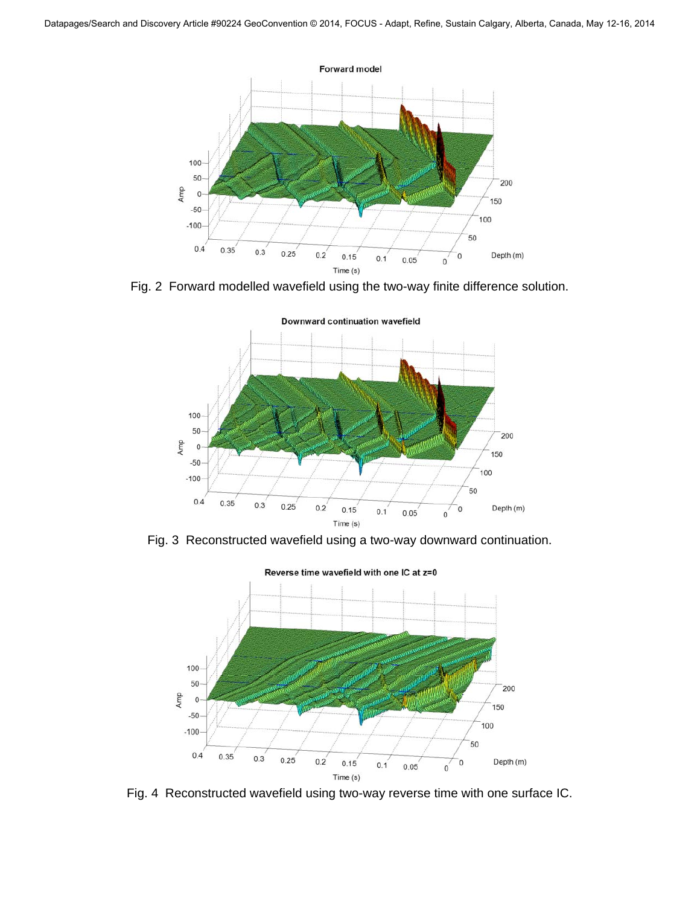

Fig. 2 Forward modelled wavefield using the two-way finite difference solution.



Fig. 3 Reconstructed wavefield using a two-way downward continuation.



Fig. 4 Reconstructed wavefield using two-way reverse time with one surface IC.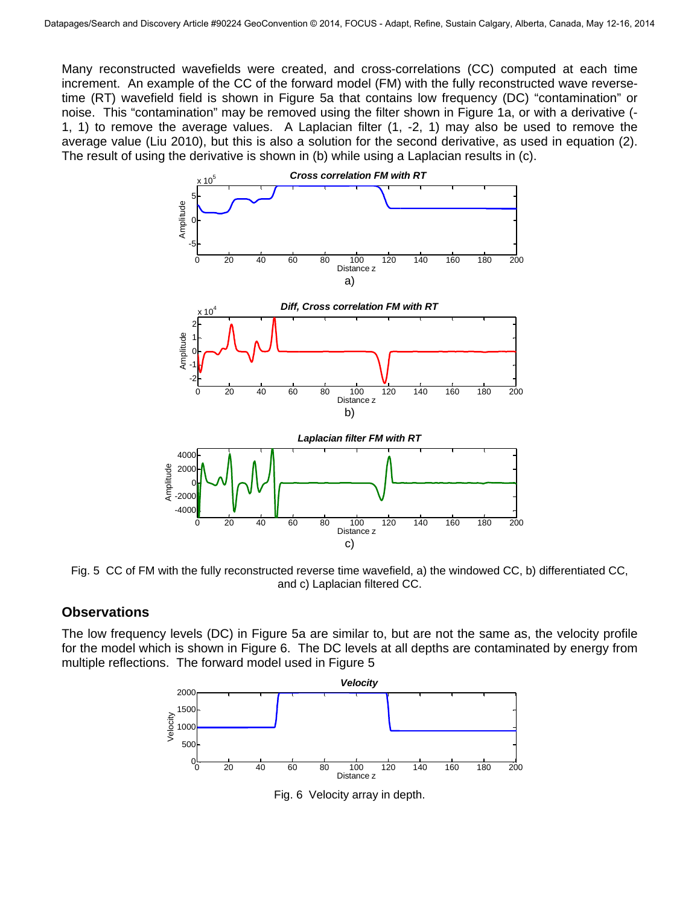Many reconstructed wavefields were created, and cross-correlations (CC) computed at each time increment. An example of the CC of the forward model (FM) with the fully reconstructed wave reversetime (RT) wavefield field is shown in Figure 5a that contains low frequency (DC) "contamination" or noise. This "contamination" may be removed using the filter shown in Figure 1a, or with a derivative (- 1, 1) to remove the average values. A Laplacian filter (1, -2, 1) may also be used to remove the average value (Liu 2010), but this is also a solution for the second derivative, as used in equation (2). The result of using the derivative is shown in (b) while using a Laplacian results in (c).



Fig. 5 CC of FM with the fully reconstructed reverse time wavefield, a) the windowed CC, b) differentiated CC, and c) Laplacian filtered CC.

#### **Observations**

The low frequency levels (DC) in Figure 5a are similar to, but are not the same as, the velocity profile for the model which is shown in Figure 6. The DC levels at all depths are contaminated by energy from multiple reflections. The forward model used in Figure 5



Fig. 6 Velocity array in depth.